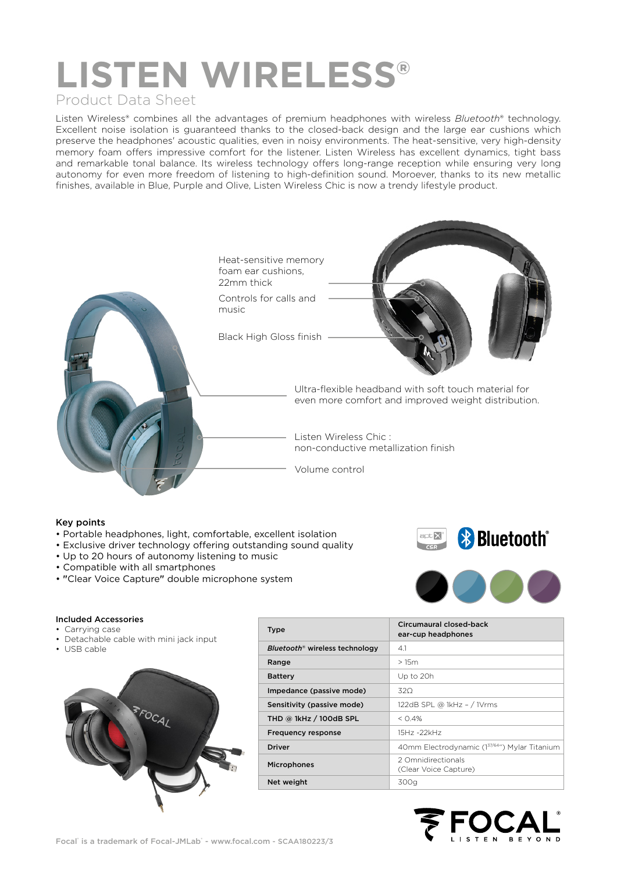# **LISTEN WIRELESS®**

### Product Data Sheet

Listen Wireless® combines all the advantages of premium headphones with wireless *Bluetooth*® technology. Excellent noise isolation is guaranteed thanks to the closed-back design and the large ear cushions which preserve the headphones' acoustic qualities, even in noisy environments. The heat-sensitive, very high-density memory foam offers impressive comfort for the listener. Listen Wireless has excellent dynamics, tight bass and remarkable tonal balance. Its wireless technology offers long-range reception while ensuring very long autonomy for even more freedom of listening to high-definition sound. Moroever, thanks to its new metallic finishes, available in Blue, Purple and Olive, Listen Wireless Chic is now a trendy lifestyle product.



#### Key points

- Portable headphones, light, comfortable, excellent isolation
- Exclusive driver technology offering outstanding sound quality
- Up to 20 hours of autonomy listening to music
- Compatible with all smartphones
- "Clear Voice Capture" double microphone system



#### Included Accessories

- Carrying case
- Detachable cable with mini jack input
- USB cable



| <b>Type</b>                                | Circumaural closed-back<br>ear-cup headphones |
|--------------------------------------------|-----------------------------------------------|
| Bluetooth <sup>®</sup> wireless technology | 4.1                                           |
| Range                                      | >15m                                          |
| <b>Battery</b>                             | Up to 20h                                     |
| Impedance (passive mode)                   | 32O                                           |
| Sensitivity (passive mode)                 | 122dB SPL @ 1kHz - / 1Vrms                    |
| THD $@$ 1kHz $/$ 100dB SPL                 | $<$ 0.4%                                      |
| <b>Frequency response</b>                  | 15Hz-22kHz                                    |
| <b>Driver</b>                              | 40mm Electrodynamic (137/64") Mylar Titanium  |
| <b>Microphones</b>                         | 2 Omnidirectionals<br>(Clear Voice Capture)   |
| Net weight                                 | 300a                                          |